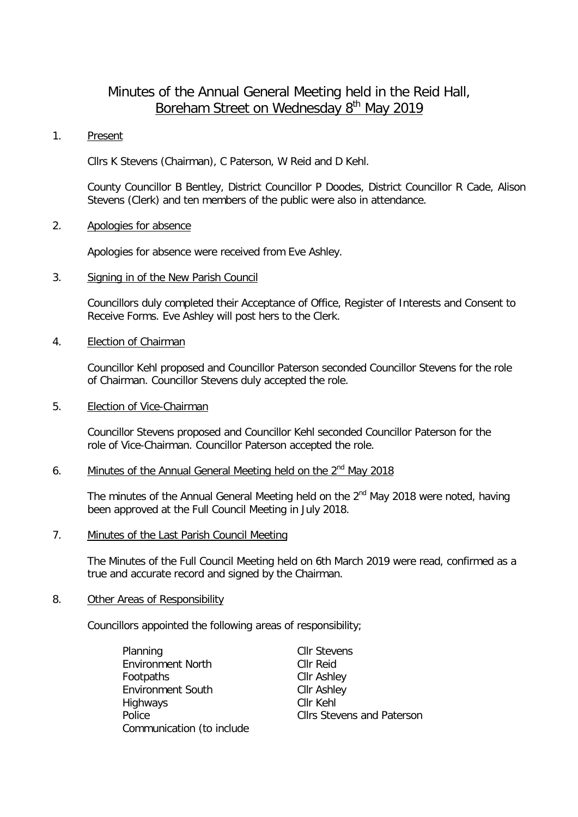# Minutes of the Annual General Meeting held in the Reid Hall, Boreham Street on Wednesday 8<sup>th</sup> May 2019

#### 1. Present

Cllrs K Stevens (Chairman), C Paterson, W Reid and D Kehl.

County Councillor B Bentley, District Councillor P Doodes, District Councillor R Cade, Alison Stevens (Clerk) and ten members of the public were also in attendance.

### 2. Apologies for absence

Apologies for absence were received from Eve Ashley.

### 3. Signing in of the New Parish Council

Councillors duly completed their Acceptance of Office, Register of Interests and Consent to Receive Forms. Eve Ashley will post hers to the Clerk.

## 4. Election of Chairman

Councillor Kehl proposed and Councillor Paterson seconded Councillor Stevens for the role of Chairman. Councillor Stevens duly accepted the role.

#### 5. Election of Vice-Chairman

Councillor Stevens proposed and Councillor Kehl seconded Councillor Paterson for the role of Vice-Chairman. Councillor Paterson accepted the role.

# 6. Minutes of the Annual General Meeting held on the  $2<sup>nd</sup>$  May 2018

The minutes of the Annual General Meeting held on the  $2^{nd}$  May 2018 were noted, having been approved at the Full Council Meeting in July 2018.

## 7. Minutes of the Last Parish Council Meeting

The Minutes of the Full Council Meeting held on 6th March 2019 were read, confirmed as a true and accurate record and signed by the Chairman.

#### 8. Other Areas of Responsibility

Councillors appointed the following areas of responsibility;

| Planning                  | <b>Cllr Stevens</b> |
|---------------------------|---------------------|
| <b>Environment North</b>  | Cllr Reid           |
| Footpaths                 | <b>Cllr Ashley</b>  |
| <b>Environment South</b>  | <b>Cllr Ashley</b>  |
| Highways                  | Cllr Kehl           |
| Police                    | <b>Cllrs Steven</b> |
| Communication (to include |                     |

ns and Paterson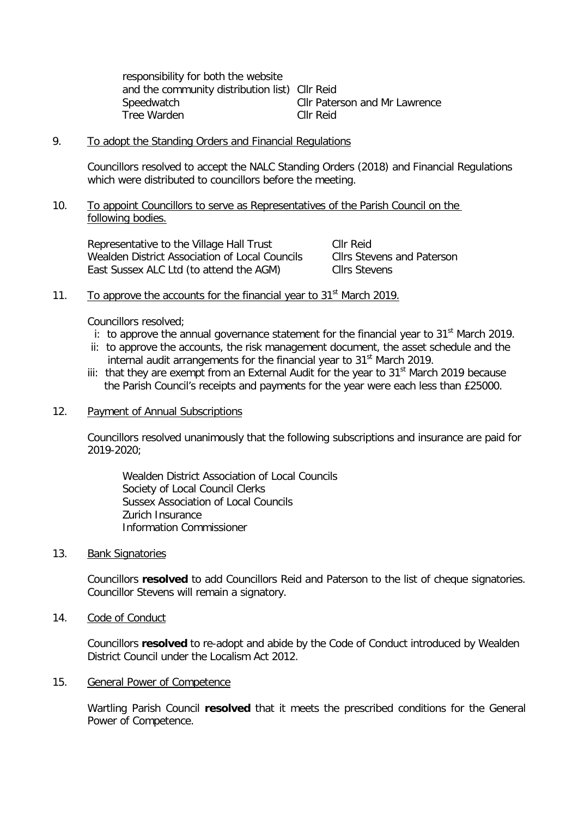responsibility for both the website and the community distribution list) Cllr Reid Speedwatch Cllr Paterson and Mr Lawrence Tree Warden Cllr Reid

#### 9. To adopt the Standing Orders and Financial Regulations

Councillors resolved to accept the NALC Standing Orders (2018) and Financial Regulations which were distributed to councillors before the meeting.

#### 10. To appoint Councillors to serve as Representatives of the Parish Council on the following bodies.

Representative to the Village Hall Trust Cllr Reid Wealden District Association of Local Councils Cllrs Stevens and Paterson East Sussex ALC Ltd (to attend the AGM) Cllrs Stevens

# 11. To approve the accounts for the financial year to  $31<sup>st</sup>$  March 2019.

Councillors resolved;

- i: to approve the annual governance statement for the financial year to  $31<sup>st</sup>$  March 2019.
- ii: to approve the accounts, the risk management document, the asset schedule and the internal audit arrangements for the financial year to 31<sup>st</sup> March 2019.
- iii: that they are exempt from an External Audit for the year to  $31<sup>st</sup>$  March 2019 because the Parish Council's receipts and payments for the year were each less than £25000.

#### 12. Payment of Annual Subscriptions

Councillors resolved unanimously that the following subscriptions and insurance are paid for 2019-2020;

Wealden District Association of Local Councils Society of Local Council Clerks Sussex Association of Local Councils Zurich Insurance Information Commissioner

#### 13. Bank Signatories

Councillors **resolved** to add Councillors Reid and Paterson to the list of cheque signatories. Councillor Stevens will remain a signatory.

14. Code of Conduct

Councillors **resolved** to re-adopt and abide by the Code of Conduct introduced by Wealden District Council under the Localism Act 2012.

#### 15. General Power of Competence

Wartling Parish Council **resolved** that it meets the prescribed conditions for the General Power of Competence.